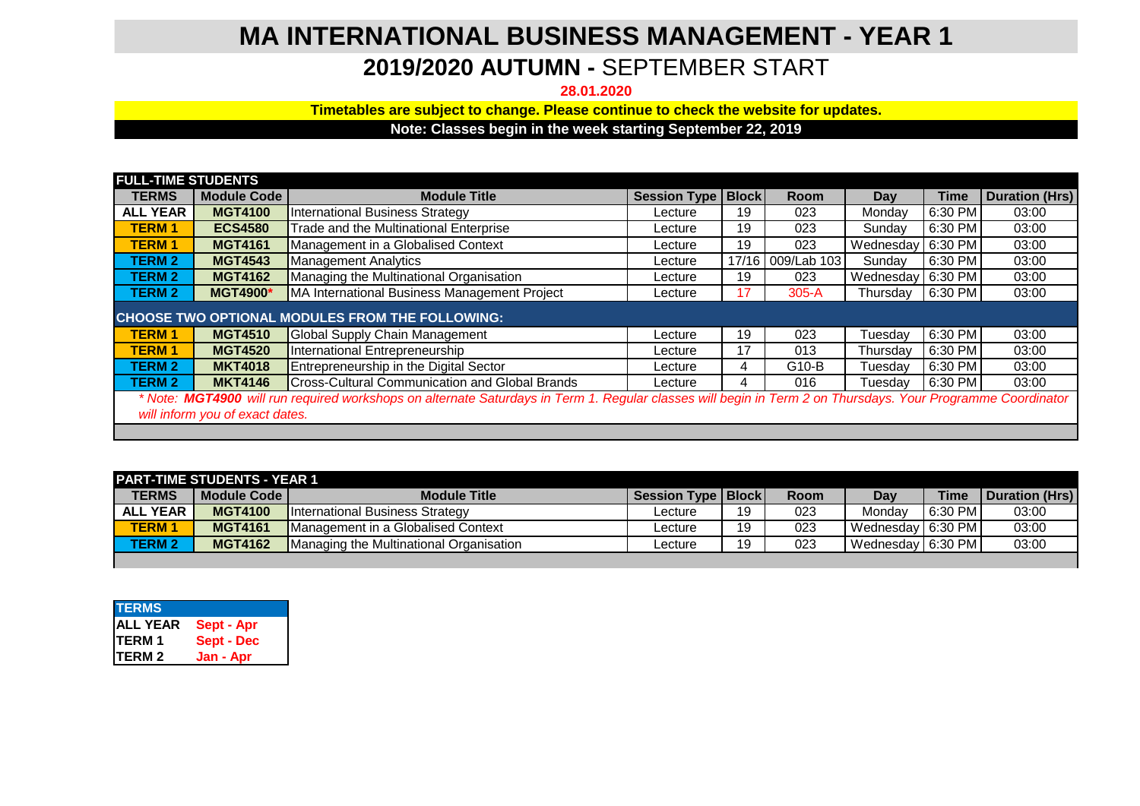## **MA INTERNATIONAL BUSINESS MANAGEMENT - YEAR 1**

## **2019/2020 AUTUMN -** SEPTEMBER START

**28.01.2020**

**Timetables are subject to change. Please continue to check the website for updates.**

**Note: Classes begin in the week starting September 22, 2019**

| <b>FULL-TIME STUDENTS</b>                                                                                                                                                                      |                    |                                                       |                      |    |                   |                     |             |                       |
|------------------------------------------------------------------------------------------------------------------------------------------------------------------------------------------------|--------------------|-------------------------------------------------------|----------------------|----|-------------------|---------------------|-------------|-----------------------|
| <b>TERMS</b>                                                                                                                                                                                   | <b>Module Code</b> | <b>Module Title</b>                                   | Session Type   Block |    | <b>Room</b>       | Day                 | <b>Time</b> | <b>Duration (Hrs)</b> |
| <b>ALL YEAR</b>                                                                                                                                                                                | <b>MGT4100</b>     | <b>International Business Strategy</b>                | Lecture              | 19 | 023               | Mondav              | 6:30 PM     | 03:00                 |
| <b>TERM1</b>                                                                                                                                                                                   | <b>ECS4580</b>     | Trade and the Multinational Enterprise                | Lecture              | 19 | 023               | Sunday              | 6:30 PM     | 03:00                 |
| <b>TERM1</b>                                                                                                                                                                                   | <b>MGT4161</b>     | Management in a Globalised Context                    | Lecture              | 19 | 023               | Wednesday   6:30 PM |             | 03:00                 |
| <b>TERM 2</b>                                                                                                                                                                                  | <b>MGT4543</b>     | <b>Management Analytics</b>                           | Lecture              |    | 17/16 009/Lab 103 | Sunday              | 6:30 PM     | 03:00                 |
| <b>TERM 2</b>                                                                                                                                                                                  | <b>MGT4162</b>     | Managing the Multinational Organisation               | Lecture              | 19 | 023               | Wednesday   6:30 PM |             | 03:00                 |
| <b>TERM 2</b>                                                                                                                                                                                  | <b>MGT4900*</b>    | MA International Business Management Project          | Lecture              | 17 | $305-A$           | Thursday            | 6:30 PM     | 03:00                 |
| CHOOSE TWO OPTIONAL MODULES FROM THE FOLLOWING:                                                                                                                                                |                    |                                                       |                      |    |                   |                     |             |                       |
| <b>TERM1</b>                                                                                                                                                                                   | <b>MGT4510</b>     | Global Supply Chain Management                        | Lecture              | 19 | 023               | Tuesday             | 6:30 PM     | 03:00                 |
| <b>TERM1</b>                                                                                                                                                                                   | <b>MGT4520</b>     | International Entrepreneurship                        | Lecture              | 17 | 013               | Thursday            | 6:30 PM     | 03:00                 |
| <b>TERM 2</b>                                                                                                                                                                                  | <b>MKT4018</b>     | Entrepreneurship in the Digital Sector                | Lecture              | 4  | G10-B             | Tuesday             | 6:30 PM     | 03:00                 |
| <b>TERM 2</b>                                                                                                                                                                                  | <b>MKT4146</b>     | <b>Cross-Cultural Communication and Global Brands</b> | Lecture              | 4  | 016               | Tuesday             | 6:30 PM     | 03:00                 |
| * Note: MGT4900 will run required workshops on alternate Saturdays in Term 1. Regular classes will begin in Term 2 on Thursdays. Your Programme Coordinator<br>will inform you of exact dates. |                    |                                                       |                      |    |                   |                     |             |                       |

| <b>PART-TIME STUDENTS - YEAR 1</b> |                |                                         |                      |     |      |                     |             |                |
|------------------------------------|----------------|-----------------------------------------|----------------------|-----|------|---------------------|-------------|----------------|
| <b>TERMS</b>                       | Module Code I  | <b>Module Title</b>                     | Session Type   Block |     | Room | Day                 | <b>Time</b> | Duration (Hrs) |
| <b>ALL YEAR</b>                    | <b>MGT4100</b> | <b>International Business Strategy</b>  | Lecture              | 19  | 023  | Mondav              | 6:30 PM     | 03:00          |
| <b>TERM 1</b>                      | <b>MGT4161</b> | Management in a Globalised Context      | Lecture              | 19  | 023  | Wednesday   6:30 PM |             | 03:00          |
| <b>TERM 2</b>                      | <b>MGT4162</b> | Managing the Multinational Organisation | Lecture              | 1 Q | 023  | Wednesday   6:30 PM |             | 03:00          |
|                                    |                |                                         |                      |     |      |                     |             |                |

| <b>TERMS</b>       |                   |
|--------------------|-------------------|
|                    | Sept - Apr        |
| ALL YEAR<br>TERM 1 | <b>Sept - Dec</b> |
| TERM <sub>2</sub>  | Jan - Apr         |